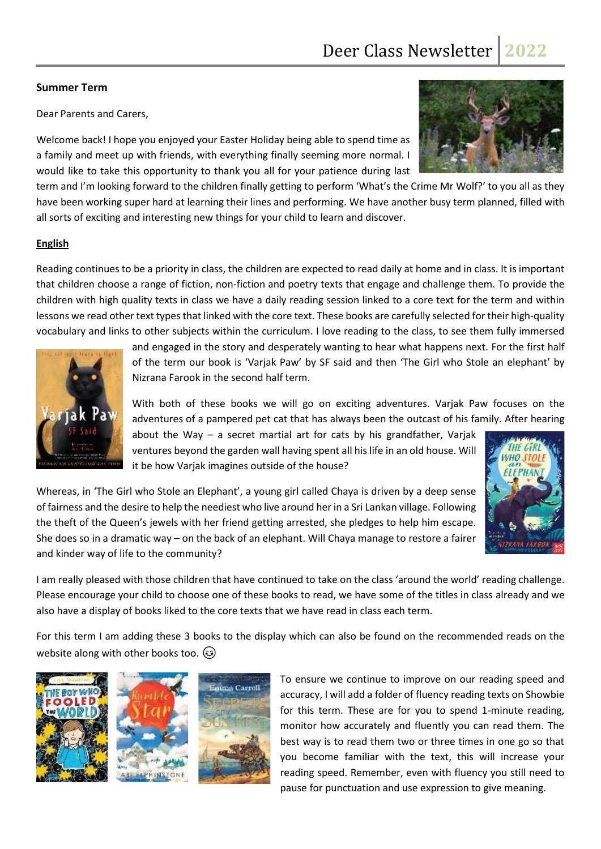# **Summer Term**

Dear Parents and Carers,

Welcome back! I hope you enjoyed your Easter Holiday being able to spend time as a family and meet up with friends, with everything finally seeming more normal. I would like to take this opportunity to thank you all for your patience during last



term and I'm looking forward to the children finally getting to perform 'What's the Crime Mr Wolf?' to you all as they have been working super hard at learning their lines and performing. We have another busy term planned, filled with all sorts of exciting and interesting new things for your child to learn and discover.

# **English**

Reading continues to be a priority in class, the children are expected to read daily at home and in class. It is important that children choose a range of fiction, non-fiction and poetry texts that engage and challenge them. To provide the children with high quality texts in class we have a daily reading session linked to a core text for the term and within lessons we read other text types that linked with the core text. These books are carefully selected for their high-quality vocabulary and links to other subjects within the curriculum. I love reading to the class, to see them fully immersed



and engaged in the story and desperately wanting to hear what happens next. For the first half of the term our book is 'Varjak Paw' by SF said and then 'The Girl who Stole an elephant' by Nizrana Farook in the second half term.

With both of these books we will go on exciting adventures. Varjak Paw focuses on the adventures of a pampered pet cat that has always been the outcast of his family. After hearing

about the Way  $-$  a secret martial art for cats by his grandfather, Varjak ventures beyond the garden wall having spent all his life in an old house. Will it be how Varjak imagines outside of the house?

Whereas, in 'The Girl who Stole an Elephant', a young girl called Chaya is driven by a deep sense of fairness and the desire to help the neediest who live around her in a Sri Lankan village. Following the theft of the Queen's jewels with her friend getting arrested, she pledges to help him escape. She does so in a dramatic way – on the back of an elephant. Will Chaya manage to restore a fairer and kinder way of life to the community?

I am really pleased with those children that have continued to take on the class 'around the world' reading challenge. Please encourage your child to choose one of these books to read, we have some of the titles in class already and we also have a display of books liked to the core texts that we have read in class each term.

For this term I am adding these 3 books to the display which can also be found on the recommended reads on the website along with other books too.  $\circledS$ 







To ensure we continue to improve on our reading speed and accuracy, I will add a folder of fluency reading texts on Showbie for this term. These are for you to spend 1-minute reading, monitor how accurately and fluently you can read them. The best way is to read them two or three times in one go so that you become familiar with the text, this will increase your reading speed. Remember, even with fluency you still need to pause for punctuation and use expression to give meaning.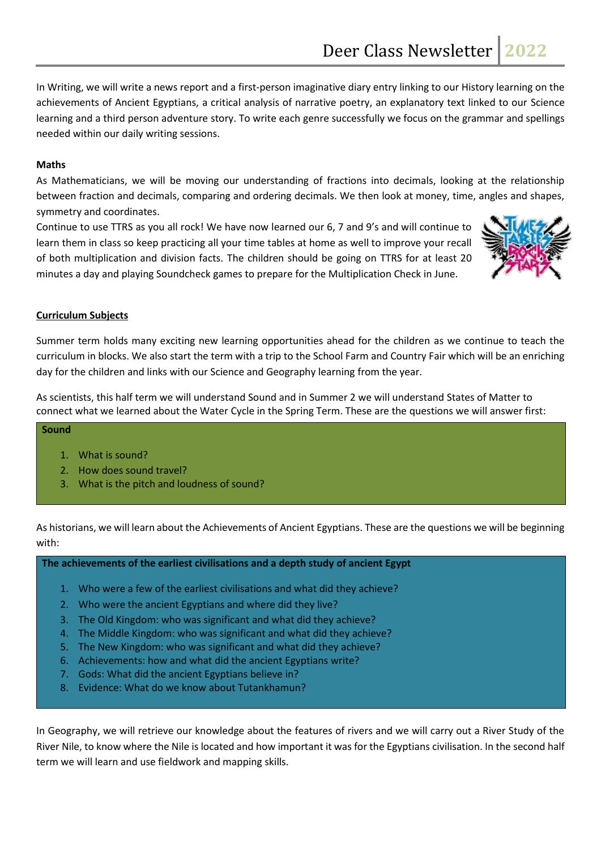In Writing, we will write a news report and a first-person imaginative diary entry linking to our History learning on the achievements of Ancient Egyptians, a critical analysis of narrative poetry, an explanatory text linked to our Science learning and a third person adventure story. To write each genre successfully we focus on the grammar and spellings needed within our daily writing sessions.

## **Maths**

As Mathematicians, we will be moving our understanding of fractions into decimals, looking at the relationship between fraction and decimals, comparing and ordering decimals. We then look at money, time, angles and shapes, symmetry and coordinates.

Continue to use TTRS as you all rock! We have now learned our 6, 7 and 9's and will continue to learn them in class so keep practicing all your time tables at home as well to improve your recall of both multiplication and division facts. The children should be going on TTRS for at least 20 minutes a day and playing Soundcheck games to prepare for the Multiplication Check in June.



## **Curriculum Subjects**

Summer term holds many exciting new learning opportunities ahead for the children as we continue to teach the curriculum in blocks. We also start the term with a trip to the School Farm and Country Fair which will be an enriching day for the children and links with our Science and Geography learning from the year.

As scientists, this half term we will understand Sound and in Summer 2 we will understand States of Matter to connect what we learned about the Water Cycle in the Spring Term. These are the questions we will answer first:

#### **Sound**

- 1. What is sound?
- 2. How does sound travel?
- 3. What is the pitch and loudness of sound?

As historians, we will learn about the Achievements of Ancient Egyptians. These are the questions we will be beginning with:

**The achievements of the earliest civilisations and a depth study of ancient Egypt**

- 1. Who were a few of the earliest civilisations and what did they achieve?
- 2. Who were the ancient Egyptians and where did they live?
- 3. The Old Kingdom: who was significant and what did they achieve?
- 4. The Middle Kingdom: who was significant and what did they achieve?
- 5. The New Kingdom: who was significant and what did they achieve?
- 6. Achievements: how and what did the ancient Egyptians write?
- 7. Gods: What did the ancient Egyptians believe in?
- 8. Evidence: What do we know about Tutankhamun?

In Geography, we will retrieve our knowledge about the features of rivers and we will carry out a River Study of the River Nile, to know where the Nile is located and how important it was for the Egyptians civilisation. In the second half term we will learn and use fieldwork and mapping skills.